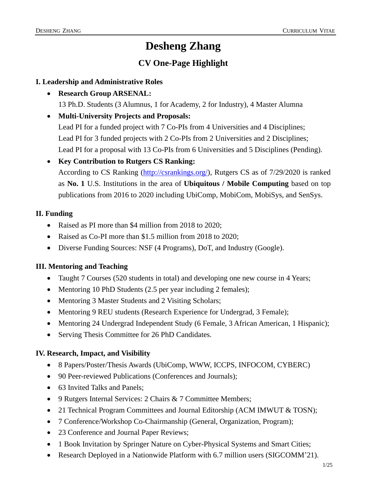## **Desheng Zhang**

### **CV One-Page Highlight**

#### **I. Leadership and Administrative Roles**

- **Research Group ARSENAL:** 13 Ph.D. Students (3 Alumnus, 1 for Academy, 2 for Industry), 4 Master Alumna
- **Multi-University Projects and Proposals:** Lead PI for a funded project with 7 Co-PIs from 4 Universities and 4 Disciplines; Lead PI for 3 funded projects with 2 Co-PIs from 2 Universities and 2 Disciplines; Lead PI for a proposal with 13 Co-PIs from 6 Universities and 5 Disciplines (Pending).
- **Key Contribution to Rutgers CS Ranking:** According to CS Ranking [\(http://csrankings.org/\)](http://csrankings.org/), Rutgers CS as of 7/29/2020 is ranked as **No. 1** U.S. Institutions in the area of **Ubiquitous / Mobile Computing** based on top publications from 2016 to 2020 including UbiComp, MobiCom, MobiSys, and SenSys.

#### **II. Funding**

- Raised as PI more than \$4 million from 2018 to 2020;
- Raised as Co-PI more than \$1.5 million from 2018 to 2020;
- Diverse Funding Sources: NSF (4 Programs), DoT, and Industry (Google).

#### **III. Mentoring and Teaching**

- Taught 7 Courses (520 students in total) and developing one new course in 4 Years;
- Mentoring 10 PhD Students (2.5 per year including 2 females);
- Mentoring 3 Master Students and 2 Visiting Scholars;
- Mentoring 9 REU students (Research Experience for Undergrad, 3 Female);
- Mentoring 24 Undergrad Independent Study (6 Female, 3 African American, 1 Hispanic);
- Serving Thesis Committee for 26 PhD Candidates.

#### **IV. Research, Impact, and Visibility**

- 8 Papers/Poster/Thesis Awards (UbiComp, WWW, ICCPS, INFOCOM, CYBERC)
- 90 Peer-reviewed Publications (Conferences and Journals);
- 63 Invited Talks and Panels;
- 9 Rutgers Internal Services: 2 Chairs & 7 Committee Members;
- 21 Technical Program Committees and Journal Editorship (ACM IMWUT & TOSN);
- 7 Conference/Workshop Co-Chairmanship (General, Organization, Program);
- 23 Conference and Journal Paper Reviews;
- 1 Book Invitation by Springer Nature on Cyber-Physical Systems and Smart Cities;
- Research Deployed in a Nationwide Platform with 6.7 million users (SIGCOMM'21).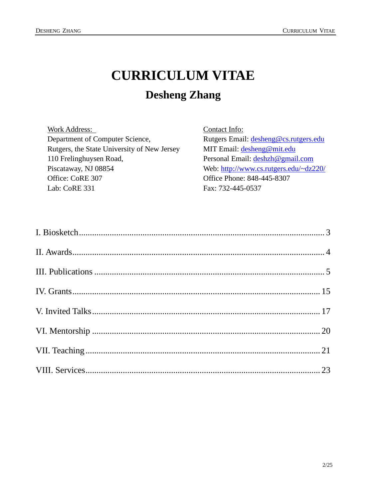# **CURRICULUM VITAE Desheng Zhang**

| <b>Work Address:</b>                        | Contact Info:                          |
|---------------------------------------------|----------------------------------------|
| Department of Computer Science,             | Rutgers Email: desheng@cs.rutgers.edu  |
| Rutgers, the State University of New Jersey | MIT Email: $desheng@mit.edu$           |
| 110 Frelinghuysen Road,                     | Personal Email: deshzh@gmail.com       |
| Piscataway, NJ 08854                        | Web: http://www.cs.rutgers.edu/~dz220/ |
| Office: CoRE 307                            | Office Phone: 848-445-8307             |
| Lab: CoRE 331                               | Fax: 732-445-0537                      |
|                                             |                                        |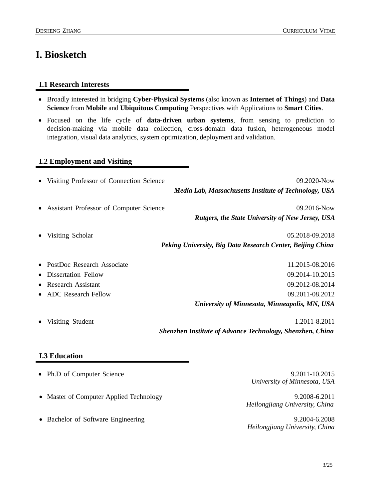### <span id="page-2-0"></span>**I. Biosketch**

#### **I.1 Research Interests**

- Broadly interested in bridging **Cyber-Physical Systems** (also known as **Internet of Things**) and **Data Science** from **Mobile** and **Ubiquitous Computing** Perspectives with Applications to **Smart Cities**.
- Focused on the life cycle of **data-driven urban systems**, from sensing to prediction to decision-making via mobile data collection, cross-domain data fusion, heterogeneous model integration, visual data analytics, system optimization, deployment and validation.

#### **I.2 Employment and Visiting**

| • Visiting Professor of Connection Science | 09.2020-Now                                                      |
|--------------------------------------------|------------------------------------------------------------------|
|                                            | Media Lab, Massachusetts Institute of Technology, USA            |
| • Assistant Professor of Computer Science  | 09.2016-Now                                                      |
|                                            | Rutgers, the State University of New Jersey, USA                 |
| Visiting Scholar                           | 05.2018-09.2018                                                  |
|                                            | Peking University, Big Data Research Center, Beijing China       |
| • PostDoc Research Associate               | 11.2015-08.2016                                                  |
| Dissertation Fellow                        | 09.2014-10.2015                                                  |
| • Research Assistant                       | 09.2012-08.2014                                                  |
| • ADC Research Fellow                      | 09.2011-08.2012                                                  |
|                                            | University of Minnesota, Minneapolis, MN, USA                    |
| Visiting Student                           | 1.2011-8.2011                                                    |
|                                            | <b>Shenzhen Institute of Advance Technology, Shenzhen, China</b> |

#### **I.3 Education**

- Ph.D of Computer Science9.2011-10.2015
- Master of Computer Applied Technology 9.2008-6.2011
- Bachelor of Software Engineering9.2004-6.2008

*University of Minnesota, USA*

*Heilongjiang University, China*

*Heilongjiang University, China*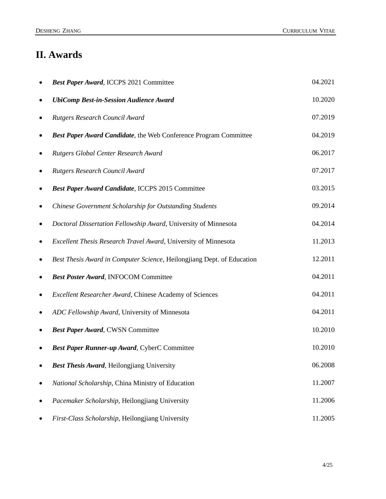## <span id="page-3-0"></span>**II. Awards**

|           | Best Paper Award, ICCPS 2021 Committee                                   | 04.2021 |
|-----------|--------------------------------------------------------------------------|---------|
|           | <b>UbiComp Best-in-Session Audience Award</b>                            | 10.2020 |
| $\bullet$ | Rutgers Research Council Award                                           | 07.2019 |
| $\bullet$ | <b>Best Paper Award Candidate</b> , the Web Conference Program Committee | 04.2019 |
| $\bullet$ | Rutgers Global Center Research Award                                     | 06.2017 |
|           | Rutgers Research Council Award                                           | 07.2017 |
|           | Best Paper Award Candidate, ICCPS 2015 Committee                         | 03.2015 |
| $\bullet$ | Chinese Government Scholarship for Outstanding Students                  | 09.2014 |
|           | Doctoral Dissertation Fellowship Award, University of Minnesota          | 04.2014 |
|           | Excellent Thesis Research Travel Award, University of Minnesota          | 11.2013 |
| $\bullet$ | Best Thesis Award in Computer Science, Heilongjiang Dept. of Education   | 12.2011 |
|           | <b>Best Poster Award, INFOCOM Committee</b>                              | 04.2011 |
|           | Excellent Researcher Award, Chinese Academy of Sciences                  | 04.2011 |
| ٠         | ADC Fellowship Award, University of Minnesota                            | 04.2011 |
|           | Best Paper Award, CWSN Committee                                         | 10.2010 |
|           | Best Paper Runner-up Award, CyberC Committee                             | 10.2010 |
|           | <b>Best Thesis Award, Heilongjiang University</b>                        | 06.2008 |
|           | National Scholarship, China Ministry of Education                        | 11.2007 |
|           | Pacemaker Scholarship, Heilongjiang University                           | 11.2006 |
|           | First-Class Scholarship, Heilongjiang University                         | 11.2005 |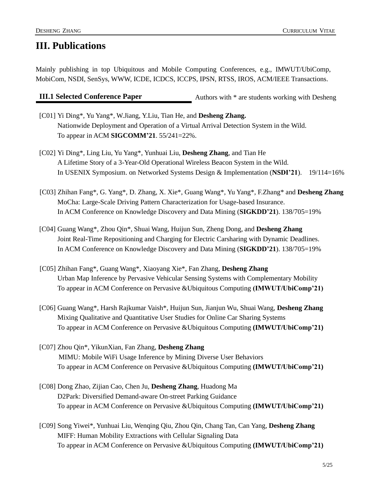### <span id="page-4-0"></span>**III. Publications**

Mainly publishing in top Ubiquitous and Mobile Computing Conferences, e.g., IMWUT/UbiComp, MobiCom, NSDI, SenSys, WWW, ICDE, ICDCS, ICCPS, IPSN, RTSS, IROS, ACM/IEEE Transactions.

**III.1 Selected Conference Paper** Authors with \* are students working with Desheng

- [C01] Yi Ding\*, Yu Yang\*, W.Jiang, Y.Liu, Tian He, and **Desheng Zhang.** Nationwide Deployment and Operation of a Virtual Arrival Detection System in the Wild. To appear in ACM **SIGCOMM'21**. 55/241=22%.
- [C02] Yi Ding\*, Ling Liu, Yu Yang\*, Yunhuai Liu, **Desheng Zhang**, and Tian He A Lifetime Story of a 3-Year-Old Operational Wireless Beacon System in the Wild. In USENIX Symposium. on Networked Systems Design & Implementation (**NSDI'21**). 19/114=16%
- [C03] Zhihan Fang\*, G. Yang\*, D. Zhang, X. Xie\*, Guang Wang\*, Yu Yang\*, F.Zhang\* and **Desheng Zhang** MoCha: Large-Scale Driving Pattern Characterization for Usage-based Insurance. In ACM Conference on Knowledge Discovery and Data Mining (**SIGKDD'21**). 138/705=19%
- [C04] Guang Wang\*, Zhou Qin\*, Shuai Wang, Huijun Sun, Zheng Dong, and **Desheng Zhang**  Joint Real-Time Repositioning and Charging for Electric Carsharing with Dynamic Deadlines. In ACM Conference on Knowledge Discovery and Data Mining (**SIGKDD'21**). 138/705=19%
- [C05] Zhihan Fang\*, Guang Wang\*, Xiaoyang Xie\*, Fan Zhang, **Desheng Zhang** Urban Map Inference by Pervasive Vehicular Sensing Systems with Complementary Mobility To appear in ACM Conference on Pervasive &Ubiquitous Computing **(IMWUT/UbiComp'21)**
- [C06] Guang Wang\*, Harsh Rajkumar Vaish\*, Huijun Sun, Jianjun Wu, Shuai Wang, **Desheng Zhang** Mixing Qualitative and Quantitative User Studies for Online Car Sharing Systems To appear in ACM Conference on Pervasive &Ubiquitous Computing **(IMWUT/UbiComp'21)**
- [C07] Zhou Qin\*, YikunXian, Fan Zhang, **Desheng Zhang** MIMU: Mobile WiFi Usage Inference by Mining Diverse User Behaviors To appear in ACM Conference on Pervasive &Ubiquitous Computing **(IMWUT/UbiComp'21)**
- [C08] Dong Zhao, Zijian Cao, Chen Ju, **Desheng Zhang**, Huadong Ma D2Park: Diversified Demand-aware On-street Parking Guidance To appear in ACM Conference on Pervasive &Ubiquitous Computing **(IMWUT/UbiComp'21)**
- [C09] Song Yiwei\*, Yunhuai Liu, Wenqing Qiu, Zhou Qin, Chang Tan, Can Yang, **Desheng Zhang** MIFF: Human Mobility Extractions with Cellular Signaling Data To appear in ACM Conference on Pervasive &Ubiquitous Computing **(IMWUT/UbiComp'21)**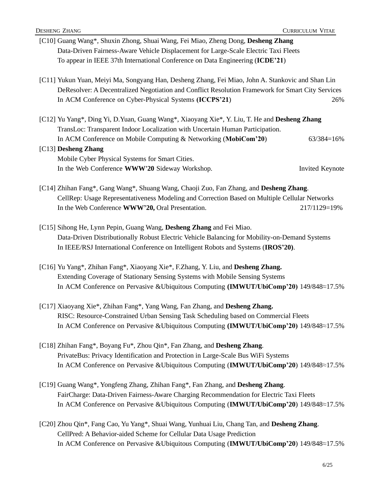[C10] Guang Wang\*, Shuxin Zhong, Shuai Wang, Fei Miao, Zheng Dong, **Desheng Zhang** Data-Driven Fairness-Aware Vehicle Displacement for Large-Scale Electric Taxi Fleets To appear in IEEE 37th International Conference on Data Engineering (**ICDE'21**) [C11] Yukun Yuan, Meiyi Ma, Songyang Han, Desheng Zhang, Fei Miao, John A. Stankovic and Shan Lin DeResolver: A Decentralized Negotiation and Conflict Resolution Framework for Smart City Services In ACM Conference on Cyber-Physical Systems **(ICCPS'21**) 26% [C12] Yu Yang\*, Ding Yi, D.Yuan, Guang Wang\*, Xiaoyang Xie\*, Y. Liu, T. He and **Desheng Zhang** TransLoc: Transparent Indoor Localization with Uncertain Human Participation. In ACM Conference on Mobile Computing & Networking (**MobiCom'20**) 63/384=16% [C13] **Desheng Zhang** Mobile Cyber Physical Systems for Smart Cities. In the Web Conference **WWW'20** Sideway Workshop. Invited Keynote [C14] Zhihan Fang\*, Gang Wang\*, Shuang Wang, Chaoji Zuo, Fan Zhang, and **Desheng Zhang**. CellRep: Usage Representativeness Modeling and Correction Based on Multiple Cellular Networks In the Web Conference **WWW'20,** Oral Presentation. 217/1129=19% [C15] Sihong He, Lynn Pepin, Guang Wang, **Desheng Zhang** and Fei Miao. Data-Driven Distributionally Robust Electric Vehicle Balancing for Mobility-on-Demand Systems In IEEE/RSJ International Conference on Intelligent Robots and Systems (**IROS'20)**. [C16] Yu Yang\*, Zhihan Fang\*, Xiaoyang Xie\*, F.Zhang, Y. Liu, and **Desheng Zhang.** Extending Coverage of Stationary Sensing Systems with Mobile Sensing Systems In ACM Conference on Pervasive &Ubiquitous Computing **(IMWUT/UbiComp'20)** 149/848≈17.5% [C17] Xiaoyang Xie\*, Zhihan Fang\*, Yang Wang, Fan Zhang, and **Desheng Zhang.** RISC: Resource-Constrained Urban Sensing Task Scheduling based on Commercial Fleets In ACM Conference on Pervasive &Ubiquitous Computing **(IMWUT/UbiComp'20)** 149/848≈17.5% [C18] Zhihan Fang\*, Boyang Fu\*, Zhou Qin\*, Fan Zhang, and **Desheng Zhang**. PrivateBus: Privacy Identification and Protection in Large-Scale Bus WiFi Systems In ACM Conference on Pervasive &Ubiquitous Computing (**IMWUT/UbiComp'20**) 149/848≈17.5% [C19] Guang Wang\*, Yongfeng Zhang, Zhihan Fang\*, Fan Zhang, and **Desheng Zhang**. FairCharge: Data-Driven Fairness-Aware Charging Recommendation for Electric Taxi Fleets In ACM Conference on Pervasive &Ubiquitous Computing (**IMWUT/UbiComp'20**) 149/848≈17.5% [C20] Zhou Qin\*, Fang Cao, Yu Yang\*, Shuai Wang, Yunhuai Liu, Chang Tan, and **Desheng Zhang**. CellPred: A Behavior-aided Scheme for Cellular Data Usage Prediction In ACM Conference on Pervasive &Ubiquitous Computing (**IMWUT/UbiComp'20**) 149/848≈17.5%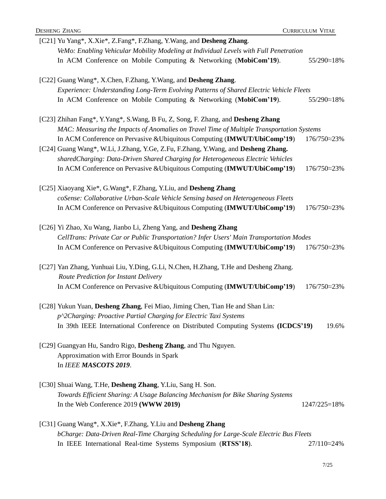| [C21] Yu Yang*, X.Xie*, Z.Fang*, F.Zhang, Y.Wang, and Desheng Zhang.                                                                                          |                       |
|---------------------------------------------------------------------------------------------------------------------------------------------------------------|-----------------------|
| VeMo: Enabling Vehicular Mobility Modeling at Individual Levels with Full Penetration<br>In ACM Conference on Mobile Computing & Networking (MobiCom'19).     | 55/290~18%            |
| [C22] Guang Wang*, X.Chen, F.Zhang, Y.Wang, and Desheng Zhang.                                                                                                |                       |
| Experience: Understanding Long-Term Evolving Patterns of Shared Electric Vehicle Fleets                                                                       |                       |
| In ACM Conference on Mobile Computing & Networking (MobiCom'19).                                                                                              | 55/290~18%            |
| [C23] Zhihan Fang*, Y.Yang*, S.Wang, B Fu, Z, Song, F. Zhang, and Desheng Zhang                                                                               |                       |
| MAC: Measuring the Impacts of Anomalies on Travel Time of Multiple Transportation Systems                                                                     |                       |
| In ACM Conference on Pervasive & Ubiquitous Computing (IMWUT/UbiComp'19)<br>[C24] Guang Wang*, W.Li, J.Zhang, Y.Ge, Z.Fu, F.Zhang, Y.Wang, and Desheng Zhang. | 176/750 $\approx$ 23% |
| sharedCharging: Data-Driven Shared Charging for Heterogeneous Electric Vehicles                                                                               |                       |
| In ACM Conference on Pervasive & Ubiquitous Computing (IMWUT/UbiComp'19)                                                                                      | 176/750 ~ 23%         |
| [C25] Xiaoyang Xie*, G.Wang*, F.Zhang, Y.Liu, and Desheng Zhang                                                                                               |                       |
| coSense: Collaborative Urban-Scale Vehicle Sensing based on Heterogeneous Fleets                                                                              |                       |
| In ACM Conference on Pervasive & Ubiquitous Computing (IMWUT/UbiComp'19)                                                                                      | 176/750 ~ 23%         |
| [C26] Yi Zhao, Xu Wang, Jianbo Li, Zheng Yang, and Desheng Zhang                                                                                              |                       |
| CellTrans: Private Car or Public Transportation? Infer Users' Main Transportation Modes                                                                       |                       |
| In ACM Conference on Pervasive & Ubiquitous Computing (IMWUT/UbiComp'19)                                                                                      | 176/750 ~ 23%         |
| [C27] Yan Zhang, Yunhuai Liu, Y.Ding, G.Li, N.Chen, H.Zhang, T.He and Desheng Zhang.<br>Route Prediction for Instant Delivery                                 |                       |
| In ACM Conference on Pervasive & Ubiquitous Computing (IMWUT/UbiComp'19)                                                                                      | 176/750 ~ 23%         |
| [C28] Yukun Yuan, Desheng Zhang, Fei Miao, Jiming Chen, Tian He and Shan Lin:                                                                                 |                       |
| p^2Charging: Proactive Partial Charging for Electric Taxi Systems                                                                                             |                       |
| In 39th IEEE International Conference on Distributed Computing Systems (ICDCS'19)                                                                             | 19.6%                 |
| [C29] Guangyan Hu, Sandro Rigo, Desheng Zhang, and Thu Nguyen.                                                                                                |                       |
| Approximation with Error Bounds in Spark                                                                                                                      |                       |
| In IEEE MASCOTS 2019.                                                                                                                                         |                       |
| [C30] Shuai Wang, T.He, Desheng Zhang, Y.Liu, Sang H. Son.                                                                                                    |                       |
| Towards Efficient Sharing: A Usage Balancing Mechanism for Bike Sharing Systems                                                                               |                       |
| In the Web Conference 2019 (WWW 2019)                                                                                                                         | 1247/225=18%          |
| [C31] Guang Wang*, X.Xie*, F.Zhang, Y.Liu and Desheng Zhang                                                                                                   |                       |
| bCharge: Data-Driven Real-Time Charging Scheduling for Large-Scale Electric Bus Fleets                                                                        |                       |
|                                                                                                                                                               |                       |

In IEEE International Real-time Systems Symposium (**RTSS'18**).27/110≈24%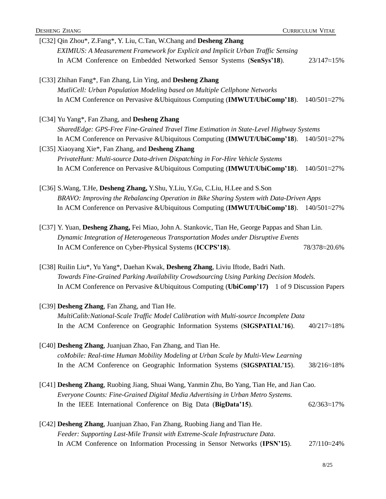| <b>DESHENG ZHANG</b>                                                                            | <b>CURRICULUM VITAE</b> |
|-------------------------------------------------------------------------------------------------|-------------------------|
| [C32] Qin Zhou*, Z.Fang*, Y. Liu, C.Tan, W.Chang and Desheng Zhang                              |                         |
| EXIMIUS: A Measurement Framework for Explicit and Implicit Urban Traffic Sensing                |                         |
| In ACM Conference on Embedded Networked Sensor Systems (SenSys'18).                             | 23/147≈15%              |
| [C33] Zhihan Fang*, Fan Zhang, Lin Ying, and Desheng Zhang                                      |                         |
| MutliCell: Urban Population Modeling based on Multiple Cellphone Networks                       |                         |
| In ACM Conference on Pervasive & Ubiquitous Computing (IMWUT/UbiComp'18).                       | 140/501≈27%             |
| [C34] Yu Yang*, Fan Zhang, and Desheng Zhang                                                    |                         |
| SharedEdge: GPS-Free Fine-Grained Travel Time Estimation in State-Level Highway Systems         |                         |
| In ACM Conference on Pervasive & Ubiquitous Computing (IMWUT/UbiComp'18).                       | $140/501 \approx 27\%$  |
| [C35] Xiaoyang Xie*, Fan Zhang, and Desheng Zhang                                               |                         |
| PrivateHunt: Multi-source Data-driven Dispatching in For-Hire Vehicle Systems                   |                         |
| In ACM Conference on Pervasive & Ubiquitous Computing (IMWUT/UbiComp'18).                       | 140/501≈27%             |
| [C36] S. Wang, T.He, Desheng Zhang, Y. Shu, Y. Liu, Y. Gu, C. Liu, H. Lee and S. Son            |                         |
| BRAVO: Improving the Rebalancing Operation in Bike Sharing System with Data-Driven Apps         |                         |
| In ACM Conference on Pervasive & Ubiquitous Computing (IMWUT/UbiComp'18).                       | $140/501 \approx 27\%$  |
| [C37] Y. Yuan, Desheng Zhang, Fei Miao, John A. Stankovic, Tian He, George Pappas and Shan Lin. |                         |
| Dynamic Integration of Heterogeneous Transportation Modes under Disruptive Events               |                         |
| In ACM Conference on Cyber-Physical Systems (ICCPS'18).                                         | 78/378 ~ 20.6%          |
| [C38] Ruilin Liu*, Yu Yang*, Daehan Kwak, Desheng Zhang, Liviu Iftode, Badri Nath.              |                         |
| Towards Fine-Grained Parking Availability Crowdsourcing Using Parking Decision Models.          |                         |
| In ACM Conference on Pervasive & Ubiquitous Computing (UbiComp'17) 1 of 9 Discussion Papers     |                         |
| [C39] Desheng Zhang, Fan Zhang, and Tian He.                                                    |                         |
| MultiCalib:National-Scale Traffic Model Calibration with Multi-source Incomplete Data           |                         |
| In the ACM Conference on Geographic Information Systems (SIGSPATIAL'16).                        | $40/217 \approx 18\%$   |
| [C40] Desheng Zhang, Juanjuan Zhao, Fan Zhang, and Tian He.                                     |                         |
| coMobile: Real-time Human Mobility Modeling at Urban Scale by Multi-View Learning               |                         |
| In the ACM Conference on Geographic Information Systems (SIGSPATIAL'15).                        | 38/216~18%              |
| [C41] Desheng Zhang, Ruobing Jiang, Shuai Wang, Yanmin Zhu, Bo Yang, Tian He, and Jian Cao.     |                         |
| Everyone Counts: Fine-Grained Digital Media Advertising in Urban Metro Systems.                 |                         |
| In the IEEE International Conference on Big Data (BigData'15).                                  | $62/363 \approx 17\%$   |
|                                                                                                 |                         |

[C42] **Desheng Zhang**, Juanjuan Zhao, Fan Zhang, Ruobing Jiang and Tian He. *Feeder: Supporting Last-Mile Transit with Extreme-Scale Infrastructure Data*. In ACM Conference on Information Processing in Sensor Networks (**IPSN'15**). 27/110≈24%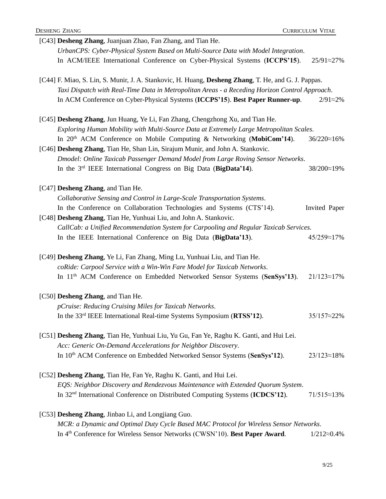| [C43] Desheng Zhang, Juanjuan Zhao, Fan Zhang, and Tian He.                                         |                       |
|-----------------------------------------------------------------------------------------------------|-----------------------|
| UrbanCPS: Cyber-Physical System Based on Multi-Source Data with Model Integration.                  |                       |
| In ACM/IEEE International Conference on Cyber-Physical Systems (ICCPS'15).                          | 25/91~27%             |
| [C44] F. Miao, S. Lin, S. Munir, J. A. Stankovic, H. Huang, Desheng Zhang, T. He, and G. J. Pappas. |                       |
| Taxi Dispatch with Real-Time Data in Metropolitan Areas - a Receding Horizon Control Approach.      |                       |
| In ACM Conference on Cyber-Physical Systems (ICCPS'15). Best Paper Runner-up.                       | $2/91 \approx 2\%$    |
| [C45] Desheng Zhang, Jun Huang, Ye Li, Fan Zhang, Chengzhong Xu, and Tian He.                       |                       |
| Exploring Human Mobility with Multi-Source Data at Extremely Large Metropolitan Scales.             |                       |
| In $20th$ ACM Conference on Mobile Computing & Networking (MobiCom'14).                             | 36/220~16%            |
| [C46] Desheng Zhang, Tian He, Shan Lin, Sirajum Munir, and John A. Stankovic.                       |                       |
| Dmodel: Online Taxicab Passenger Demand Model from Large Roving Sensor Networks.                    |                       |
| In the 3rd IEEE International Congress on Big Data (BigData'14).                                    | 38/200~19%            |
| [C47] Desheng Zhang, and Tian He.                                                                   |                       |
| Collaborative Sensing and Control in Large-Scale Transportation Systems.                            |                       |
| In the Conference on Collaboration Technologies and Systems (CTS'14).                               | Invited Paper         |
| [C48] Desheng Zhang, Tian He, Yunhuai Liu, and John A. Stankovic.                                   |                       |
| CallCab: a Unified Recommendation System for Carpooling and Regular Taxicab Services.               |                       |
| In the IEEE International Conference on Big Data (BigData'13).                                      | 45/259 $\approx$ 17%  |
| [C49] Desheng Zhang, Ye Li, Fan Zhang, Ming Lu, Yunhuai Liu, and Tian He.                           |                       |
| coRide: Carpool Service with a Win-Win Fare Model for Taxicab Networks.                             |                       |
| In 11 <sup>th</sup> ACM Conference on Embedded Networked Sensor Systems (SenSys'13).                | $21/123 \approx 17\%$ |
| [C50] Desheng Zhang, and Tian He.                                                                   |                       |
| pCruise: Reducing Cruising Miles for Taxicab Networks.                                              |                       |
| In the 33 <sup>rd</sup> IEEE International Real-time Systems Symposium (RTSS'12).                   | $35/157 \approx 22\%$ |
| [C51] Desheng Zhang, Tian He, Yunhuai Liu, Yu Gu, Fan Ye, Raghu K. Ganti, and Hui Lei.              |                       |
| Acc: Generic On-Demand Accelerations for Neighbor Discovery.                                        |                       |
| In 10th ACM Conference on Embedded Networked Sensor Systems (SenSys'12).                            | $23/123 \approx 18\%$ |
| [C52] Desheng Zhang, Tian He, Fan Ye, Raghu K. Ganti, and Hui Lei.                                  |                       |
| EQS: Neighbor Discovery and Rendezvous Maintenance with Extended Quorum System.                     |                       |
| In 32 <sup>nd</sup> International Conference on Distributed Computing Systems (ICDCS'12).           | $71/515 \approx 13\%$ |
| [C53] Desheng Zhang, Jinbao Li, and Longjiang Guo.                                                  |                       |
| MCR: a Dynamic and Optimal Duty Cycle Based MAC Protocol for Wireless Sensor Networks.              |                       |
| In 4th Conference for Wireless Sensor Networks (CWSN'10). Best Paper Award.                         | $1/212 \approx 0.4\%$ |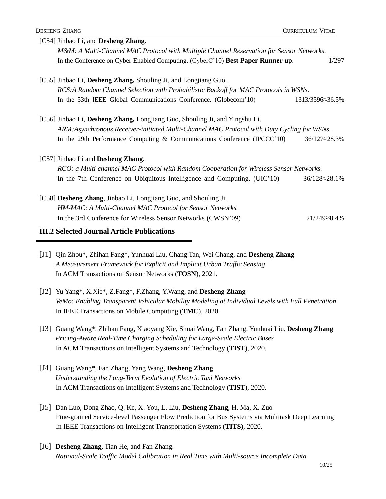| [C54] Jinbao Li, and Desheng Zhang.                                                         |                         |
|---------------------------------------------------------------------------------------------|-------------------------|
| M&M: A Multi-Channel MAC Protocol with Multiple Channel Reservation for Sensor Networks.    |                         |
| In the Conference on Cyber-Enabled Computing. (CyberC'10) Best Paper Runner-up.             | 1/297                   |
| [C55] Jinbao Li, Desheng Zhang, Shouling Ji, and Longjiang Guo.                             |                         |
| RCS:A Random Channel Selection with Probabilistic Backoff for MAC Protocols in WSNs.        |                         |
| In the 53th IEEE Global Communications Conference. (Globecom'10)                            | 1313/3596~36.5%         |
| [C56] Jinbao Li, Desheng Zhang, Longjiang Guo, Shouling Ji, and Yingshu Li.                 |                         |
| ARM: Asynchronous Receiver-initiated Multi-Channel MAC Protocol with Duty Cycling for WSNs. |                         |
| In the 29th Performance Computing & Communications Conference (IPCCC'10)                    | $36/127 \approx 28.3\%$ |
| [C57] Jinbao Li and Desheng Zhang.                                                          |                         |
| RCO: a Multi-channel MAC Protocol with Random Cooperation for Wireless Sensor Networks.     |                         |
| In the 7th Conference on Ubiquitous Intelligence and Computing. (UIC'10)                    | $36/128 \approx 28.1\%$ |
| [C58] Desheng Zhang, Jinbao Li, Longjiang Guo, and Shouling Ji.                             |                         |
| HM-MAC: A Multi-Channel MAC Protocol for Sensor Networks.                                   |                         |
| In the 3rd Conference for Wireless Sensor Networks (CWSN'09)                                | $21/249 \approx 8.4\%$  |
| $\mathbf{r}$ and $\mathbf{r}$ are $\mathbf{r}$ and $\mathbf{r}$ are $\mathbf{r}$            |                         |

#### **III.2 Selected Journal Article Publications**

- [J1] Qin Zhou\*, Zhihan Fang\*, Yunhuai Liu, Chang Tan, Wei Chang, and **Desheng Zhang** *A Measurement Framework for Explicit and Implicit Urban Traffic Sensing* In ACM Transactions on Sensor Networks (**TOSN**), 2021.
- [J2] Yu Yang\*, X.Xie\*, Z.Fang\*, F.Zhang, Y.Wang, and **Desheng Zhang** *VeMo: Enabling Transparent Vehicular Mobility Modeling at Individual Levels with Full Penetration* In IEEE Transactions on Mobile Computing (**TMC**), 2020.
- [J3] Guang Wang\*, Zhihan Fang, Xiaoyang Xie, Shuai Wang, Fan Zhang, Yunhuai Liu, **Desheng Zhang** *Pricing-Aware Real-Time Charging Scheduling for Large-Scale Electric Buses* In ACM Transactions on Intelligent Systems and Technology (**TIST**), 2020.
- [J4] Guang Wang\*, Fan Zhang, Yang Wang, **Desheng Zhang** *Understanding the Long-Term Evolution of Electric Taxi Networks* In ACM Transactions on Intelligent Systems and Technology (**TIST**), 2020.
- [J5] Dan Luo, Dong Zhao, Q. Ke, X. You, L. Liu, **Desheng Zhang**, H. Ma, X. Zuo Fine-grained Service-level Passenger Flow Prediction for Bus Systems via Multitask Deep Learning In IEEE Transactions on Intelligent Transportation Systems (**TITS)**, 2020.
- [J6] **Desheng Zhang,** Tian He, and Fan Zhang. *National-Scale Traffic Model Calibration in Real Time with Multi-source Incomplete Data*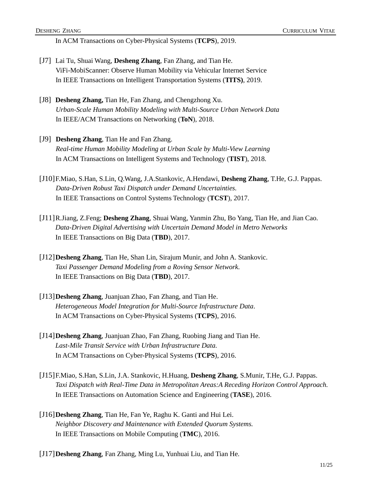In ACM Transactions on Cyber-Physical Systems (**TCPS**), 2019.

- [J7] Lai Tu, Shuai Wang, **Desheng Zhang**, Fan Zhang, and Tian He. ViFi-MobiScanner: Observe Human Mobility via Vehicular Internet Service In IEEE Transactions on Intelligent Transportation Systems (**TITS)**, 2019.
- [J8] **Desheng Zhang,** Tian He, Fan Zhang, and Chengzhong Xu. *Urban-Scale Human Mobility Modeling with Multi-Source Urban Network Data* In IEEE/ACM Transactions on Networking (**ToN**), 2018.
- [J9] **Desheng Zhang**, Tian He and Fan Zhang. *Real-time Human Mobility Modeling at Urban Scale by Multi-View Learning* In ACM Transactions on Intelligent Systems and Technology (**TIST**), 2018.
- [J10]F.Miao, S.Han, S.Lin, Q.Wang, J.A.Stankovic, A.Hendawi, **Desheng Zhang**, T.He, G.J. Pappas. *Data-Driven Robust Taxi Dispatch under Demand Uncertainties.*  In IEEE Transactions on Control Systems Technology (**TCST**), 2017.
- [J11]R.Jiang, Z.Feng; **Desheng Zhang**, Shuai Wang, Yanmin Zhu, Bo Yang, Tian He, and Jian Cao. *Data-Driven Digital Advertising with Uncertain Demand Model in Metro Networks* In IEEE Transactions on Big Data (**TBD**), 2017.
- [J12]**Desheng Zhang**, Tian He, Shan Lin, Sirajum Munir, and John A. Stankovic. *Taxi Passenger Demand Modeling from a Roving Sensor Network.*  In IEEE Transactions on Big Data (**TBD**), 2017.
- [J13]**Desheng Zhang**, Juanjuan Zhao, Fan Zhang, and Tian He. *Heterogeneous Model Integration for Multi-Source Infrastructure Data*. In ACM Transactions on Cyber-Physical Systems (**TCPS**), 2016.
- [J14]**Desheng Zhang**, Juanjuan Zhao, Fan Zhang, Ruobing Jiang and Tian He. *Last-Mile Transit Service with Urban Infrastructure Data.* In ACM Transactions on Cyber-Physical Systems (**TCPS**), 2016.
- [J15]F.Miao, S.Han, S.Lin, J.A. Stankovic, H.Huang, **Desheng Zhang**, S.Munir, T.He, G.J. Pappas. *Taxi Dispatch with Real-Time Data in Metropolitan Areas:A Receding Horizon Control Approach.*  In IEEE Transactions on Automation Science and Engineering (**TASE**), 2016.
- [J16]**Desheng Zhang**, Tian He, Fan Ye, Raghu K. Ganti and Hui Lei. *Neighbor Discovery and Maintenance with Extended Quorum Systems.* In IEEE Transactions on Mobile Computing (**TMC**), 2016.
- [J17]**Desheng Zhang**, Fan Zhang, Ming Lu, Yunhuai Liu, and Tian He.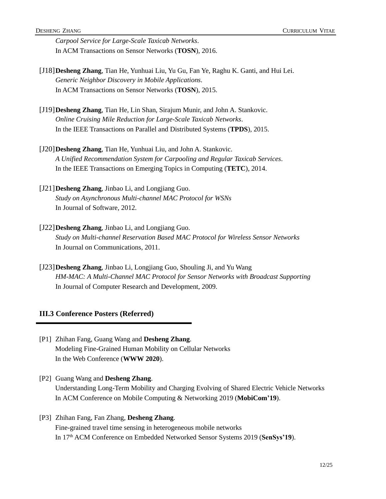*Carpool Service for Large-Scale Taxicab Networks*. In ACM Transactions on Sensor Networks (**TOSN**), 2016.

- [J18]**Desheng Zhang**, Tian He, Yunhuai Liu, Yu Gu, Fan Ye, Raghu K. Ganti, and Hui Lei. *Generic Neighbor Discovery in Mobile Applications*. In ACM Transactions on Sensor Networks (**TOSN**), 2015.
- [J19]**Desheng Zhang**, Tian He, Lin Shan, Sirajum Munir, and John A. Stankovic. *Online Cruising Mile Reduction for Large-Scale Taxicab Networks*. In the IEEE Transactions on Parallel and Distributed Systems (**TPDS**), 2015.
- [J20]**Desheng Zhang**, Tian He, Yunhuai Liu, and John A. Stankovic. *A Unified Recommendation System for Carpooling and Regular Taxicab Services*. In the IEEE Transactions on Emerging Topics in Computing (**TETC**), 2014.
- [J21]**Desheng Zhang**, Jinbao Li, and Longjiang Guo. *Study on Asynchronous Multi-channel MAC Protocol for WSNs* In Journal of Software, 2012.
- [J22]**Desheng Zhang**, Jinbao Li, and Longjiang Guo. *Study on Multi-channel Reservation Based MAC Protocol for Wireless Sensor Networks* In Journal on Communications, 2011.
- [J23]**Desheng Zhang**, Jinbao Li, Longjiang Guo, Shouling Ji, and Yu Wang *HM-MAC: A Multi-Channel MAC Protocol for Sensor Networks with Broadcast Supporting* In Journal of Computer Research and Development, 2009.

#### **III.3 Conference Posters (Referred)**

[P1] Zhihan Fang, Guang Wang and **Desheng Zhang**. Modeling Fine-Grained Human Mobility on Cellular Networks In the Web Conference (**WWW 2020**).

[P2] Guang Wang and **Desheng Zhang**. Understanding Long-Term Mobility and Charging Evolving of Shared Electric Vehicle Networks In ACM Conference on Mobile Computing & Networking 2019 (**MobiCom'19**).

[P3] Zhihan Fang, Fan Zhang, **Desheng Zhang**. Fine-grained travel time sensing in heterogeneous mobile networks In 17th ACM Conference on Embedded Networked Sensor Systems 2019 (**SenSys'19**).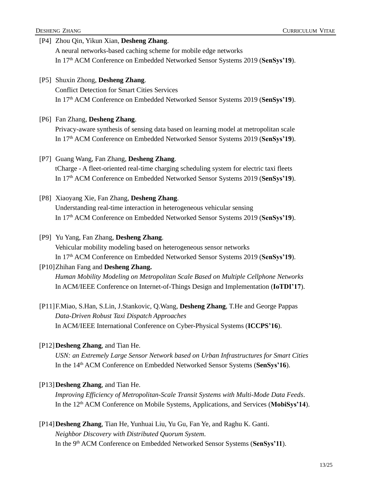### [P4] Zhou Qin, Yikun Xian, **Desheng Zhang**. A neural networks-based caching scheme for mobile edge networks In 17th ACM Conference on Embedded Networked Sensor Systems 2019 (**SenSys'19**).

[P5] Shuxin Zhong, **Desheng Zhang**. Conflict Detection for Smart Cities Services In 17th ACM Conference on Embedded Networked Sensor Systems 2019 (**SenSys'19**).

#### [P6] Fan Zhang, **Desheng Zhang**.

Privacy-aware synthesis of sensing data based on learning model at metropolitan scale In 17 th ACM Conference on Embedded Networked Sensor Systems 2019 (**SenSys'19**).

#### [P7] Guang Wang, Fan Zhang, **Desheng Zhang**.

tCharge - A fleet-oriented real-time charging scheduling system for electric taxi fleets In 17th ACM Conference on Embedded Networked Sensor Systems 2019 (**SenSys'19**).

#### [P8] Xiaoyang Xie, Fan Zhang, **Desheng Zhang**.

Understanding real-time interaction in heterogeneous vehicular sensing In 17th ACM Conference on Embedded Networked Sensor Systems 2019 (**SenSys'19**).

#### [P9] Yu Yang, Fan Zhang, **Desheng Zhang**.

Vehicular mobility modeling based on heterogeneous sensor networks In 17th ACM Conference on Embedded Networked Sensor Systems 2019 (**SenSys'19**).

#### [P10]Zhihan Fang and **Desheng Zhang.**

*Human Mobility Modeling on Metropolitan Scale Based on Multiple Cellphone Networks* In ACM/IEEE Conference on Internet-of-Things Design and Implementation (**IoTDI'17**).

[P11]F.Miao, S.Han, S.Lin, J.Stankovic, Q.Wang, **Desheng Zhang**, T.He and George Pappas *Data-Driven Robust Taxi Dispatch Approaches* In ACM/IEEE International Conference on Cyber-Physical Systems (**ICCPS'16**).

#### [P12]**Desheng Zhang**, and Tian He.

*USN: an Extremely Large Sensor Network based on Urban Infrastructures for Smart Cities* In the 14<sup>th</sup> ACM Conference on Embedded Networked Sensor Systems (SenSys'16).

#### [P13]**Desheng Zhang**, and Tian He.

*Improving Efficiency of Metropolitan-Scale Transit Systems with Multi-Mode Data Feeds*. In the 12<sup>th</sup> ACM Conference on Mobile Systems, Applications, and Services (MobiSys'14).

#### [P14]**Desheng Zhang**, Tian He, Yunhuai Liu, Yu Gu, Fan Ye, and Raghu K. Ganti. *Neighbor Discovery with Distributed Quorum System*. In the 9th ACM Conference on Embedded Networked Sensor Systems (**SenSys'11**).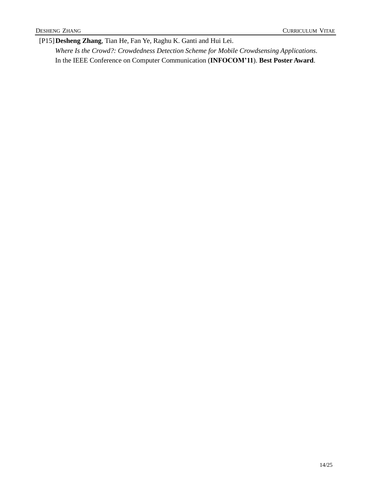[P15]**Desheng Zhang**, Tian He, Fan Ye, Raghu K. Ganti and Hui Lei.

*Where Is the Crowd?: Crowdedness Detection Scheme for Mobile Crowdsensing Applications*. In the IEEE Conference on Computer Communication (**INFOCOM'11**). **Best Poster Award**.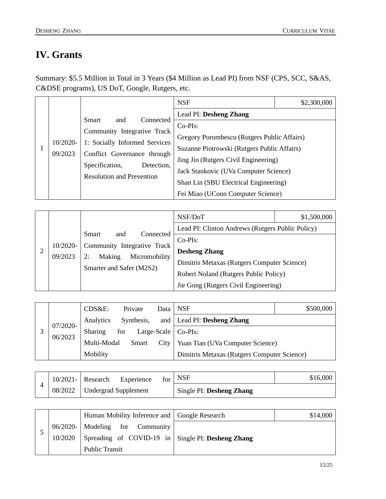## <span id="page-14-0"></span>**IV. Grants**

Summary: \$5.5 Million in Total in 3 Years (\$4 Million as Lead PI) from NSF (CPS, SCC, S&AS, C&DSE programs), US DoT, Google, Rutgers, etc.

|                     |                                                                                                                                 | <b>NSF</b>                                  | \$2,300,000 |
|---------------------|---------------------------------------------------------------------------------------------------------------------------------|---------------------------------------------|-------------|
| 10/2020-<br>09/2023 |                                                                                                                                 | Lead PI: Desheng Zhang                      |             |
|                     | <b>Smart</b><br>Connected<br>and<br>Community Integrative Track<br>1: Socially Informed Services<br>Conflict Governance through | $Co-PIs$ :                                  |             |
|                     |                                                                                                                                 | Gregory Porumbescu (Rutgers Public Affairs) |             |
|                     |                                                                                                                                 | Suzanne Piotrowski (Rutgers Public Affairs) |             |
|                     |                                                                                                                                 | Jing Jin (Rutgers Civil Engineering)        |             |
|                     | Specification,<br>Detection,                                                                                                    | Jack Stankovic (UVa Computer Science)       |             |
|                     | <b>Resolution and Prevention</b>                                                                                                | Shan Lin (SBU Electrical Engineering)       |             |
|                     |                                                                                                                                 | Fei Miao (UConn Computer Science)           |             |

| 10/2020-<br>09/2023 |                                                              | NSF/DoT                                          | \$1,500,000 |
|---------------------|--------------------------------------------------------------|--------------------------------------------------|-------------|
|                     |                                                              | Lead PI: Clinton Andrews (Rutgers Public Policy) |             |
|                     | Smart<br>Connected<br>and                                    | $Co-PIs$ :                                       |             |
|                     | Community Integrative Track<br>Making<br>Micromobility<br>2: | <b>Desheng Zhang</b>                             |             |
|                     | Smarter and Safer (M2S2)                                     | Dimitris Metaxas (Rutgers Computer Science)      |             |
|                     |                                                              | Robert Noland (Rutgers Public Policy)            |             |
|                     |                                                              | Jie Gong (Rutgers Civil Engineering)             |             |

|  | 07/2020-<br>06/2023 | CDS&E:         | Private    |      | Data NSF                                    | \$500,000 |
|--|---------------------|----------------|------------|------|---------------------------------------------|-----------|
|  |                     | Analytics      | Synthesis, |      | and   Lead PI: Desheng Zhang                |           |
|  |                     | <b>Sharing</b> | for        |      | Large-Scale $\vert$ Co-PIs:                 |           |
|  |                     | Multi-Modal    | Smart      | City | <b>Yuan Tian (UVa Computer Science)</b>     |           |
|  |                     | Mobility       |            |      | Dimitris Metaxas (Rutgers Computer Science) |           |

|         | $10/2021 -$ Research | Experience           | $for$ NSF                | \$16,000 |
|---------|----------------------|----------------------|--------------------------|----------|
| 08/2022 |                      | Undergrad Supplement | Single PI: Desheng Zhang |          |

|  |         | Human Mobility Inference and Google Research      | \$14,000 |
|--|---------|---------------------------------------------------|----------|
|  |         | 06/2020-   Modeling for Community                 |          |
|  | 10/2020 | Spreading of COVID-19 in Single PI: Desheng Zhang |          |
|  |         | <b>Public Transit</b>                             |          |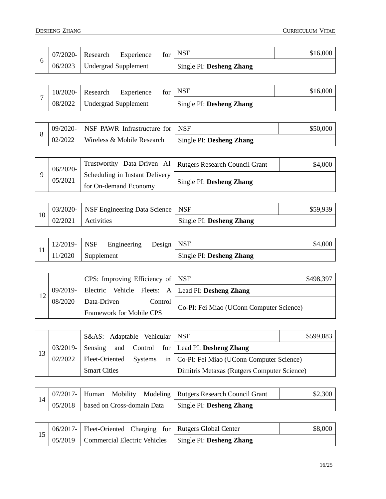|  | 07/2020- | Research | Experience           | for | <b>NSF</b>               | \$16,000 |
|--|----------|----------|----------------------|-----|--------------------------|----------|
|  | 06/2023  |          | Undergrad Supplement |     | Single PI: Desheng Zhang |          |

|  | $10/2020 -$ | Research                    | Experience | for | NSF                      | \$16,000 |
|--|-------------|-----------------------------|------------|-----|--------------------------|----------|
|  | 08/2022     | <b>Undergrad Supplement</b> |            |     | Single PI: Desheng Zhang |          |

|  |         | $\frac{1}{2}$ 09/2020- NSF PAWR Infrastructure for NSF |                          | \$50,000 |
|--|---------|--------------------------------------------------------|--------------------------|----------|
|  | 02/2022 | <b>Wireless &amp; Mobile Research</b>                  | Single PI: Desheng Zhang |          |

|  | 06/2020-<br>05/2021 |                                | Trustworthy Data-Driven AI   Rutgers Research Council Grant | \$4,000 |
|--|---------------------|--------------------------------|-------------------------------------------------------------|---------|
|  |                     | Scheduling in Instant Delivery |                                                             |         |
|  |                     | for On-demand Economy          | Single PI: Desheng Zhang                                    |         |

|  |         | 03/2020-   NSF Engineering Data Science   NSF |                          | \$59,939 |
|--|---------|-----------------------------------------------|--------------------------|----------|
|  | 02/2021 | Activities                                    | Single PI: Desheng Zhang |          |

|  | $12/2019 -$ NSF | Engineering |  | Design   NSF |                          | \$4,000 |
|--|-----------------|-------------|--|--------------|--------------------------|---------|
|  | 11/2020         | Supplement  |  |              | Single PI: Desheng Zhang |         |

|         | CPS: Improving Efficiency of   NSF                             |                                          | \$498,397 |
|---------|----------------------------------------------------------------|------------------------------------------|-----------|
|         | 09/2019-   Electric Vehicle Fleets: A   Lead PI: Desheng Zhang |                                          |           |
| 08/2020 | Data-Driven<br>Control                                         | Co-PI: Fei Miao (UConn Computer Science) |           |
|         | <b>Framework for Mobile CPS</b>                                |                                          |           |

|    | S&AS: Adaptable Vehicular   NSF  |                                                         | \$599,883 |
|----|----------------------------------|---------------------------------------------------------|-----------|
|    |                                  | 03/2019- Sensing and Control for Lead PI: Desheng Zhang |           |
| 13 | 02/2022   Fleet-Oriented Systems | in   Co-PI: Fei Miao (UConn Computer Science)           |           |
|    | <b>Smart Cities</b>              | Dimitris Metaxas (Rutgers Computer Science)             |           |

|  |         |                            |  |  | 07/2017-   Human Mobility Modeling   Rutgers Research Council Grant | \$2,300 |
|--|---------|----------------------------|--|--|---------------------------------------------------------------------|---------|
|  | 05/2018 | based on Cross-domain Data |  |  | <b>Single PI: Desheng Zhang</b>                                     |         |

|  | 06/2017-   Fleet-Oriented Charging for   Rutgers Global Center    | \$8,000 |
|--|-------------------------------------------------------------------|---------|
|  | 05/2019   Commercial Electric Vehicles   Single PI: Desheng Zhang |         |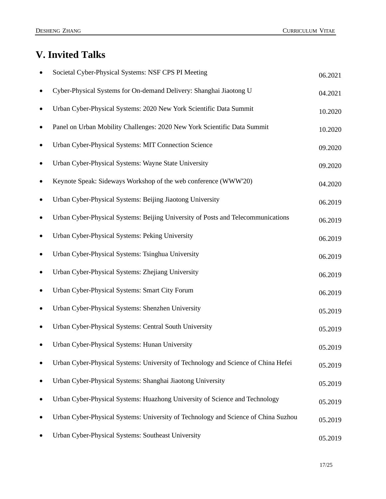## <span id="page-16-0"></span>**V. Invited Talks**

|           | Societal Cyber-Physical Systems: NSF CPS PI Meeting                                | 06.2021 |
|-----------|------------------------------------------------------------------------------------|---------|
|           | Cyber-Physical Systems for On-demand Delivery: Shanghai Jiaotong U                 | 04.2021 |
| ٠         | Urban Cyber-Physical Systems: 2020 New York Scientific Data Summit                 | 10.2020 |
| ٠         | Panel on Urban Mobility Challenges: 2020 New York Scientific Data Summit           | 10.2020 |
| $\bullet$ | Urban Cyber-Physical Systems: MIT Connection Science                               | 09.2020 |
|           | Urban Cyber-Physical Systems: Wayne State University                               | 09.2020 |
| $\bullet$ | Keynote Speak: Sideways Workshop of the web conference (WWW'20)                    | 04.2020 |
| ٠         | Urban Cyber-Physical Systems: Beijing Jiaotong University                          | 06.2019 |
| ٠         | Urban Cyber-Physical Systems: Beijing University of Posts and Telecommunications   | 06.2019 |
| ٠         | Urban Cyber-Physical Systems: Peking University                                    | 06.2019 |
|           | Urban Cyber-Physical Systems: Tsinghua University                                  | 06.2019 |
| $\bullet$ | Urban Cyber-Physical Systems: Zhejiang University                                  | 06.2019 |
| ٠         | Urban Cyber-Physical Systems: Smart City Forum                                     | 06.2019 |
| ٠         | Urban Cyber-Physical Systems: Shenzhen University                                  | 05.2019 |
|           | Urban Cyber-Physical Systems: Central South University                             | 05.2019 |
|           | Urban Cyber-Physical Systems: Hunan University                                     | 05.2019 |
|           | Urban Cyber-Physical Systems: University of Technology and Science of China Hefei  | 05.2019 |
|           | Urban Cyber-Physical Systems: Shanghai Jiaotong University                         | 05.2019 |
|           | Urban Cyber-Physical Systems: Huazhong University of Science and Technology        | 05.2019 |
|           | Urban Cyber-Physical Systems: University of Technology and Science of China Suzhou | 05.2019 |
|           | Urban Cyber-Physical Systems: Southeast University                                 | 05.2019 |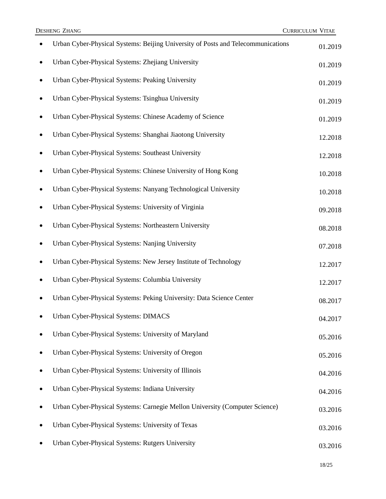|           | Urban Cyber-Physical Systems: Beijing University of Posts and Telecommunications | 01.2019 |
|-----------|----------------------------------------------------------------------------------|---------|
| $\bullet$ | Urban Cyber-Physical Systems: Zhejiang University                                | 01.2019 |
| $\bullet$ | Urban Cyber-Physical Systems: Peaking University                                 | 01.2019 |
| $\bullet$ | Urban Cyber-Physical Systems: Tsinghua University                                | 01.2019 |
|           | Urban Cyber-Physical Systems: Chinese Academy of Science                         | 01.2019 |
|           | Urban Cyber-Physical Systems: Shanghai Jiaotong University                       | 12.2018 |
| $\bullet$ | Urban Cyber-Physical Systems: Southeast University                               | 12.2018 |
| $\bullet$ | Urban Cyber-Physical Systems: Chinese University of Hong Kong                    | 10.2018 |
| $\bullet$ | Urban Cyber-Physical Systems: Nanyang Technological University                   | 10.2018 |
|           | Urban Cyber-Physical Systems: University of Virginia                             | 09.2018 |
|           | Urban Cyber-Physical Systems: Northeastern University                            | 08.2018 |
| ٠         | Urban Cyber-Physical Systems: Nanjing University                                 | 07.2018 |
| ٠         | Urban Cyber-Physical Systems: New Jersey Institute of Technology                 | 12.2017 |
| $\bullet$ | Urban Cyber-Physical Systems: Columbia University                                | 12.2017 |
|           | Urban Cyber-Physical Systems: Peking University: Data Science Center             | 08.2017 |
|           | Urban Cyber-Physical Systems: DIMACS                                             | 04.2017 |
|           | Urban Cyber-Physical Systems: University of Maryland                             | 05.2016 |
| $\bullet$ | Urban Cyber-Physical Systems: University of Oregon                               | 05.2016 |
|           | Urban Cyber-Physical Systems: University of Illinois                             | 04.2016 |
|           | Urban Cyber-Physical Systems: Indiana University                                 | 04.2016 |
|           | Urban Cyber-Physical Systems: Carnegie Mellon University (Computer Science)      | 03.2016 |
|           | Urban Cyber-Physical Systems: University of Texas                                | 03.2016 |
|           | Urban Cyber-Physical Systems: Rutgers University                                 | 03.2016 |
|           |                                                                                  |         |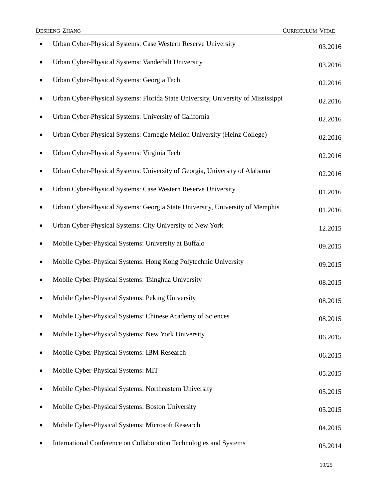| Urban Cyber-Physical Systems: Case Western Reserve University                     | 03.2016 |
|-----------------------------------------------------------------------------------|---------|
| Urban Cyber-Physical Systems: Vanderbilt University                               | 03.2016 |
| Urban Cyber-Physical Systems: Georgia Tech                                        | 02.2016 |
| Urban Cyber-Physical Systems: Florida State University, University of Mississippi | 02.2016 |
| Urban Cyber-Physical Systems: University of California                            | 02.2016 |
| Urban Cyber-Physical Systems: Carnegie Mellon University (Heinz College)          | 02.2016 |
| Urban Cyber-Physical Systems: Virginia Tech                                       | 02.2016 |
| Urban Cyber-Physical Systems: University of Georgia, University of Alabama        | 02.2016 |
| Urban Cyber-Physical Systems: Case Western Reserve University                     | 01.2016 |
| Urban Cyber-Physical Systems: Georgia State University, University of Memphis     | 01.2016 |
| Urban Cyber-Physical Systems: City University of New York                         | 12.2015 |
| Mobile Cyber-Physical Systems: University at Buffalo                              | 09.2015 |
| Mobile Cyber-Physical Systems: Hong Kong Polytechnic University                   | 09.2015 |
| Mobile Cyber-Physical Systems: Tsinghua University                                | 08.2015 |
| Mobile Cyber-Physical Systems: Peking University                                  | 08.2015 |
| Mobile Cyber-Physical Systems: Chinese Academy of Sciences                        | 08.2015 |
| Mobile Cyber-Physical Systems: New York University                                | 06.2015 |
| Mobile Cyber-Physical Systems: IBM Research                                       | 06.2015 |
| Mobile Cyber-Physical Systems: MIT                                                | 05.2015 |
| Mobile Cyber-Physical Systems: Northeastern University                            | 05.2015 |
| Mobile Cyber-Physical Systems: Boston University                                  | 05.2015 |
| Mobile Cyber-Physical Systems: Microsoft Research                                 | 04.2015 |
| International Conference on Collaboration Technologies and Systems                | 05.2014 |
|                                                                                   |         |

**DESHENG ZHANG** CURRICULUM VITAE

19/25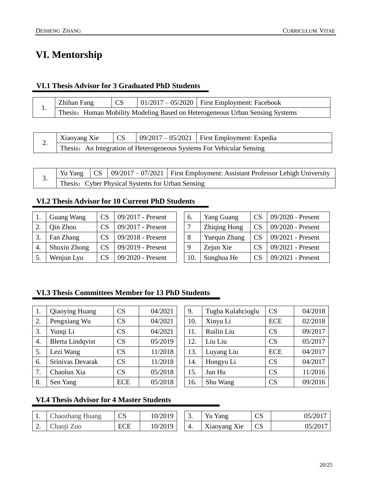## <span id="page-19-0"></span>**VI. Mentorship**

#### **VI.1 Thesis Advisor for 3 Graduated PhD Students**

| Zhihan Fang                                                                      | CS |  | $\vert 01/2017 - 05/2020 \vert$ First Employment: Facebook |  |  |  |  |
|----------------------------------------------------------------------------------|----|--|------------------------------------------------------------|--|--|--|--|
| <br>Thesis: Human Mobility Modeling Based on Heterogeneous Urban Sensing Systems |    |  |                                                            |  |  |  |  |

| ∼. | Xiaoyang Xie                                                          |  |  | $\vert$ 09/2017 – 05/2021   First Employment: Expedia |  |  |  |
|----|-----------------------------------------------------------------------|--|--|-------------------------------------------------------|--|--|--|
|    | Thesis: An Integration of Heterogeneous Systems For Vehicular Sensing |  |  |                                                       |  |  |  |

|          |                                                  |  |  | Yu Yang $\vert \text{CS} \vert 09/2017 - 07/2021 \vert$ First Employment: Assistant Professor Lehigh University |  |  |  |  |
|----------|--------------------------------------------------|--|--|-----------------------------------------------------------------------------------------------------------------|--|--|--|--|
| <u>.</u> | Thesis: Cyber Physical Systems for Urban Sensing |  |  |                                                                                                                 |  |  |  |  |

#### **VI.2 Thesis Advisor for 10 Current PhD Students**

|    | <b>Guang Wang</b> | <b>CS</b> | 09/2017 - Present   | 6.  | <b>Yang Guang</b>   | <b>CS</b>       | 09/2020 - Present |
|----|-------------------|-----------|---------------------|-----|---------------------|-----------------|-------------------|
|    | Qin Zhou          | CS        | 09/2017 - Present   |     | Zhiqing Hong        | <b>CS</b>       | 09/2020 - Present |
|    | Fan Zhang         | CS        | $09/2018$ - Present |     | <b>Yuequn Zhang</b> | CS <sup>-</sup> | 09/2021 - Present |
| 4. | Shuxin Zhong      | CS        | 09/2019 - Present   |     | Zejun Xie           | <b>CS</b>       | 09/2021 - Present |
|    | Wenjun Lyu        | CS        | 09/2020 - Present   | 10. | Songhua He          | <b>CS</b>       | 09/2021 - Present |

| 6.  | <b>Yang Guang</b>   | CS              | 09/2020 - Present |
|-----|---------------------|-----------------|-------------------|
| 7   | <b>Zhiqing Hong</b> | <b>CS</b>       | 09/2020 - Present |
| 8   | Yuequn Zhang        | CS <sup>-</sup> | 09/2021 - Present |
| 9   | Zejun Xie           | <b>CS</b>       | 09/2021 - Present |
| 10. | Songhua He          | CS              | 09/2021 - Present |

#### **VI.3 Thesis Committees Member for 13 PhD Students**

| 1.               | Qiaoying Huang          | CS         | 04/2021 | 9.  | Tugba Kulahcioglu | CS         | 04/2018 |
|------------------|-------------------------|------------|---------|-----|-------------------|------------|---------|
| 2.               | Pengxiang Wu            | CS         | 04/2021 | 10. | Xinyu Li          | <b>ECE</b> | 02/2018 |
| 3.               | Yungi Li                | CS         | 04/2021 | 11. | Ruilin Liu        | CS         | 09/2017 |
| $\overline{4}$ . | <b>Blerta Lindqvist</b> | CS         | 05/2019 | 12. | Liu Liu           | CS         | 05/2017 |
| 5.               | Lezi Wang               | CS         | 11/2018 | 13. | Luyang Liu        | <b>ECE</b> | 04/2017 |
| 6.               | Srinivas Devarak        | CS         | 11/2018 | 14. | Hongyu Li         | CS         | 04/2017 |
| 7.               | Chaolun Xia             | <b>CS</b>  | 05/2018 | 15. | Jun Hu            | CS         | 11/2016 |
| 8.               | Sen Yang                | <b>ECE</b> | 05/2018 | 16. | Shu Wang          | CS         | 09/2016 |
|                  |                         |            |         |     |                   |            |         |

| 9.  | Tugba Kulahcioglu | CS         | 04/2018 |
|-----|-------------------|------------|---------|
| 10. | Xinyu Li          | <b>ECE</b> | 02/2018 |
| 11. | Ruilin Liu        | CS         | 09/2017 |
| 12. | Liu Liu           | CS         | 05/2017 |
| 13. | Luyang Liu        | <b>ECE</b> | 04/2017 |
| 14. | Hongyu Li         | CS         | 04/2017 |
| 15. | Jun Hu            | CS         | 11/2016 |
| 16. | Shu Wang          | CS         | 09/2016 |

#### **VI.4 Thesis Advisor for 4 Master Students**

| . . | Jhaozhang Huang          | ∩∩<br>س    | 10/2019 | <u>.</u> | Yu<br>Yang                                | $\sim$<br>◡ | ′201 |
|-----|--------------------------|------------|---------|----------|-------------------------------------------|-------------|------|
| ∼.  | $\mathsf{L}$ haon<br>Zuc | <b>ECE</b> | 10/2019 |          | Xie<br>$\mathbf{v}$<br>$\Lambda$ 120 yang | C           | ZUI  |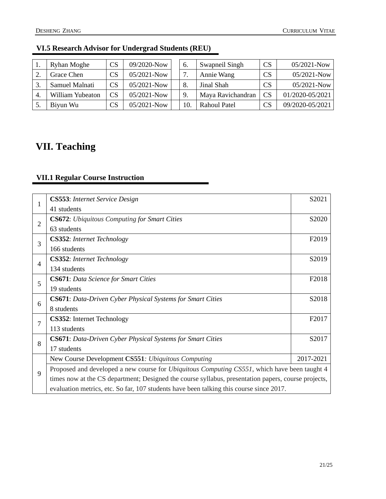|    | <b>Ryhan Moghe</b> | CS | 09/2020-Now     | 6.  | Swapneil Singh    | <b>CS</b> | 05/2021-Now     |
|----|--------------------|----|-----------------|-----|-------------------|-----------|-----------------|
|    | Grace Chen         | CS | $05/2021 - Now$ | ⇁   | Annie Wang        | <b>CS</b> | $05/2021 - Now$ |
|    | Samuel Malnati     | CS | $05/2021 - Now$ | 8.  | Jinal Shah        | <b>CS</b> | 05/2021-Now     |
| 4. | William Yubeaton   | CS | $05/2021 - Now$ | 9.  | Maya Ravichandran | <b>CS</b> | 01/2020-05/2021 |
|    | Biyun Wu           | CS | $05/2021 - Now$ | 10. | Rahoul Patel      | <b>CS</b> | 09/2020-05/2021 |

#### **VI.5 Research Advisor for Undergrad Students (REU)**

## <span id="page-20-0"></span>**VII. Teaching**

### **VII.1 Regular Course Instruction**

|                | <b>CS553:</b> Internet Service Design                                                                | S2021             |  |  |  |  |
|----------------|------------------------------------------------------------------------------------------------------|-------------------|--|--|--|--|
| 1              | 41 students                                                                                          |                   |  |  |  |  |
| $\overline{2}$ | <b>CS672:</b> Ubiquitous Computing for Smart Cities                                                  | S2020             |  |  |  |  |
|                | 63 students                                                                                          |                   |  |  |  |  |
| 3              | <b>CS352:</b> Internet Technology                                                                    | F <sub>2019</sub> |  |  |  |  |
|                | 166 students                                                                                         |                   |  |  |  |  |
| $\overline{4}$ | <b>CS352:</b> Internet Technology                                                                    | S2019             |  |  |  |  |
|                | 134 students                                                                                         |                   |  |  |  |  |
| 5              | <b>CS671:</b> Data Science for Smart Cities                                                          | F2018             |  |  |  |  |
|                | 19 students                                                                                          |                   |  |  |  |  |
| 6              | <b>CS671</b> : Data-Driven Cyber Physical Systems for Smart Cities                                   | S2018             |  |  |  |  |
|                | 8 students                                                                                           |                   |  |  |  |  |
| $\overline{7}$ | <b>CS352:</b> Internet Technology                                                                    | F <sub>2017</sub> |  |  |  |  |
|                | 113 students                                                                                         |                   |  |  |  |  |
| 8              | <b>CS671</b> : Data-Driven Cyber Physical Systems for Smart Cities                                   | S2017             |  |  |  |  |
|                | 17 students                                                                                          |                   |  |  |  |  |
|                | New Course Development CS551: Ubiquitous Computing                                                   | 2017-2021         |  |  |  |  |
| 9              | Proposed and developed a new course for <i>Ubiquitous Computing CS551</i> , which have been taught 4 |                   |  |  |  |  |
|                | times now at the CS department; Designed the course syllabus, presentation papers, course projects,  |                   |  |  |  |  |
|                | evaluation metrics, etc. So far, 107 students have been talking this course since 2017.              |                   |  |  |  |  |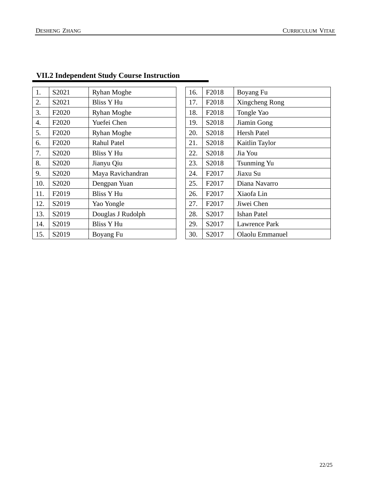| 1.  | S2021                          | <b>Ryhan Moghe</b> | 16. | F <sub>2018</sub> | Boyang Fu            |
|-----|--------------------------------|--------------------|-----|-------------------|----------------------|
| 2.  | S2021                          | Bliss Y Hu         | 17. | F <sub>2018</sub> | Xingcheng Rong       |
| 3.  | F <sub>2020</sub>              | <b>Ryhan Moghe</b> | 18. | F <sub>2018</sub> | Tongle Yao           |
| 4.  | F <sub>2020</sub>              | Yuefei Chen        | 19. | S2018             | Jiamin Gong          |
| 5.  | F <sub>2</sub> 020             | <b>Ryhan Moghe</b> | 20. | S2018             | Hersh Patel          |
| 6.  | F <sub>2</sub> 020             | <b>Rahul Patel</b> | 21. | S <sub>2018</sub> | Kaitlin Taylor       |
| 7.  | S2020                          | <b>Bliss Y Hu</b>  | 22. | S2018             | Jia You              |
| 8.  | S2020                          | Jianyu Qiu         | 23. | S2018             | Tsunming Yu          |
| 9.  | S2020                          | Maya Ravichandran  | 24. | F2017             | Jiaxu Su             |
| 10. | S <sub>2</sub> 0 <sub>20</sub> | Dengpan Yuan       | 25. | F2017             | Diana Navarro        |
| 11. | F2019                          | <b>Bliss Y Hu</b>  | 26. | F <sub>2017</sub> | Xiaofa Lin           |
| 12. | S2019                          | Yao Yongle         | 27. | F <sub>2017</sub> | Jiwei Chen           |
| 13. | S2019                          | Douglas J Rudolph  | 28. | S2017             | <b>Ishan Patel</b>   |
| 14. | S2019                          | Bliss Y Hu         | 29. | S2017             | <b>Lawrence Park</b> |
| 15. | S2019                          | Boyang Fu          | 30. | S2017             | Olaolu Emmanuel      |

### **VII.2 Independent Study Course Instruction**

| 16. | F2018             | Boyang Fu          |
|-----|-------------------|--------------------|
| 17. | F2018             | Xingcheng Rong     |
| 18. | F2018             | Tongle Yao         |
| 19. | S2018             | Jiamin Gong        |
| 20. | S2018             | Hersh Patel        |
| 21. | S <sub>2018</sub> | Kaitlin Taylor     |
| 22. | S2018             | Jia You            |
| 23. | S2018             | <b>Tsunming Yu</b> |
| 24. | F2017             | Jiaxu Su           |
| 25. | F2017             | Diana Navarro      |
| 26. | F2017             | Xiaofa Lin         |
| 27. | F2017             | Jiwei Chen         |
| 28. | S2017             | Ishan Patel        |
| 29. | S2017             | Lawrence Park      |
| 30. | S2017             | Olaolu Emmanuel    |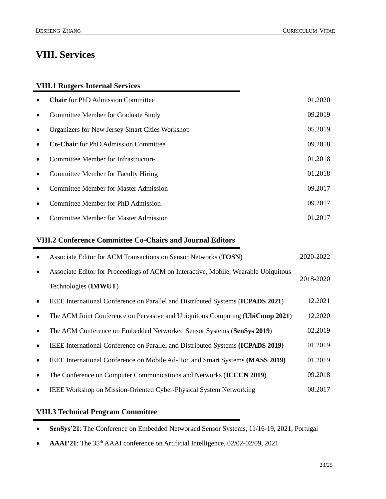## <span id="page-22-0"></span>**VIII. Services**

#### **VIII.1 Rutgers Internal Services**

| $\bullet$ | <b>Chair</b> for PhD Admission Committee        | 01.2020 |
|-----------|-------------------------------------------------|---------|
| $\bullet$ | Committee Member for Graduate Study             | 09.2019 |
| $\bullet$ | Organizers for New Jersey Smart Cities Workshop | 05.2019 |
| $\bullet$ | <b>Co-Chair</b> for PhD Admission Committee     | 09.2018 |
| $\bullet$ | Committee Member for Infrastructure             | 01.2018 |
| $\bullet$ | Committee Member for Faculty Hiring             | 01.2018 |
| $\bullet$ | Committee Member for Master Admission           | 09.2017 |
| $\bullet$ | Committee Member for PhD Admission              | 09.2017 |
| $\bullet$ | <b>Committee Member for Master Admission</b>    | 01.2017 |

#### **VIII.2 Conference Committee Co-Chairs and Journal Editors**

| $\bullet$ | Associate Editor for ACM Transactions on Sensor Networks (TOSN)                     | 2020-2022 |  |
|-----------|-------------------------------------------------------------------------------------|-----------|--|
| $\bullet$ | Associate Editor for Proceedings of ACM on Interactive, Mobile, Wearable Ubiquitous | 2018-2020 |  |
|           | Technologies (IMWUT)                                                                |           |  |
| $\bullet$ | IEEE International Conference on Parallel and Distributed Systems (ICPADS 2021)     | 12.2021   |  |
| $\bullet$ | The ACM Joint Conference on Pervasive and Ubiquitous Computing (UbiComp 2021)       | 12.2020   |  |
| $\bullet$ | The ACM Conference on Embedded Networked Sensor Systems (SenSys 2019)               | 02.2019   |  |
| $\bullet$ | IEEE International Conference on Parallel and Distributed Systems (ICPADS 2019)     | 01.2019   |  |
| $\bullet$ | IEEE International Conference on Mobile Ad-Hoc and Smart Systems (MASS 2019)        | 01.2019   |  |
| $\bullet$ | The Conference on Computer Communications and Networks (ICCCN 2019)                 | 09.2018   |  |
| $\bullet$ | <b>IEEE Workshop on Mission-Oriented Cyber-Physical System Networking</b>           | 08.2017   |  |

#### **VIII.3 Technical Program Committee**

- **SenSys'21**: The Conference on Embedded Networked Sensor Systems, 11/16-19, 2021, Portugal
- **AAAI'21**: The 35<sup>th</sup> AAAI conference on Artificial Intelligence, 02/02-02/09, 2021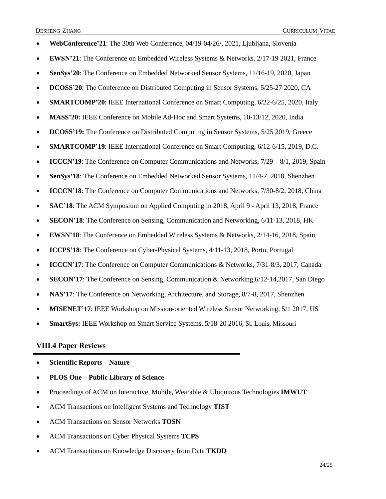| WebConference'21: The 30th Web Conference, 04/19-04/26/, 2021, Ljubljana, Slovenia              |
|-------------------------------------------------------------------------------------------------|
| EWSN'21: The Conference on Embedded Wireless Systems & Networks, 2/17-19 2021, France           |
| SenSys'20: The Conference on Embedded Networked Sensor Systems, 11/16-19, 2020, Japan           |
| <b>DCOSS'20</b> : The Conference on Distributed Computing in Sensor Systems, 5/25-27 2020, CA   |
| SMARTCOMP'20: IEEE International Conference on Smart Computing, 6/22-6/25, 2020, Italy          |
| MASS'20: IEEE Conference on Mobile Ad-Hoc and Smart Systems, 10-13/12, 2020, India              |
| DCOSS'19: The Conference on Distributed Computing in Sensor Systems, 5/25 2019, Greece          |
| <b>SMARTCOMP'19:</b> IEEE International Conference on Smart Computing, 6/12-6/15, 2019, D.C.    |
| ICCCN'19: The Conference on Computer Communications and Networks, 7/29 - 8/1, 2019, Spain       |
| SenSys'18: The Conference on Embedded Networked Sensor Systems, 11/4-7, 2018, Shenzhen          |
| <b>ICCCN'18</b> : The Conference on Computer Communications and Networks, 7/30-8/2, 2018, China |
| SAC'18: The ACM Symposium on Applied Computing in 2018, April 9 - April 13, 2018, France        |
| <b>SECON'18</b> : The Conference on Sensing, Communication and Networking, 6/11-13, 2018, HK    |
| EWSN'18: The Conference on Embedded Wireless Systems & Networks, 2/14-16, 2018, Spain           |
| <b>ICCPS'18</b> : The Conference on Cyber-Physical Systems, 4/11-13, 2018, Porto, Portugal      |
| ICCCN'17: The Conference on Computer Communications & Networks, 7/31-8/3, 2017, Canada          |
| SECON'17: The Conference on Sensing, Communication & Networking, 6/12-14, 2017, San Diego       |
| NAS'17: The Conference on Networking, Architecture, and Storage, 8/7-8, 2017, Shenzhen          |
| MISENET'17: IEEE Workshop on Mission-oriented Wireless Sensor Networking, 5/1 2017, US          |
| SmartSys: IEEE Workshop on Smart Service Systems, 5/18-20 2016, St. Louis, Missouri             |

#### **VIII.4 Paper Reviews**

- **Scientific Reports – Nature**
- **PLOS One – Public Library of Science**
- Proceedings of ACM on Interactive, Mobile, Wearable & Ubiquitous Technologies **IMWUT**
- ACM Transactions on Intelligent Systems and Technology **TIST**
- ACM Transactions on Sensor Networks **TOSN**
- ACM Transactions on Cyber Physical Systems **TCPS**
- ACM Transactions on Knowledge Discovery from Data **TKDD**